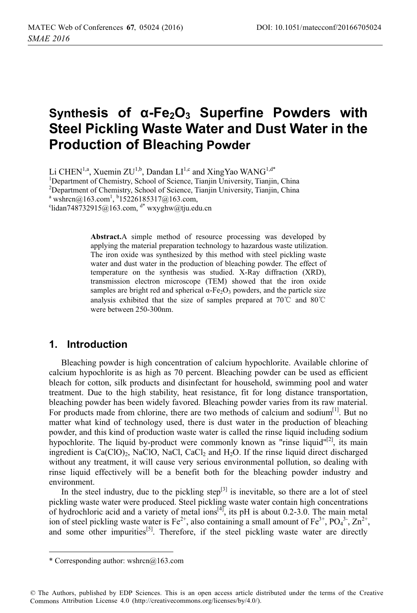# Synthesis of α-Fe<sub>2</sub>O<sub>3</sub> Superfine Powders with **Steel Pickling Waste Water and Dust Water in the Production of Bleaching Powder**

Li CHEN<sup>1,a</sup>, Xuemin ZU<sup>1,b</sup>, Dandan LI<sup>1,c</sup> and XingYao WANG<sup>1,d\*</sup> <sup>1</sup>Department of Chemistry, School of Science, Tianjin University, Tianjin, China <sup>2</sup>Department of Chemistry, School of Science, Tianjin University, Tianjin, China

<sup>a</sup> wshrcn@163.com<sup>1</sup>, <sup>b</sup>15226185317@163.com,<br><sup>c</sup>lidan748732015@163.com, <sup>d\*</sup> wxyghw@tiu.ed

 $\lceil \cdot \cdot \rceil$ lidan748732915@163.com, d\* wxyghw@tju.edu.cn

**Abstract.**A simple method of resource processing was developed by applying the material preparation technology to hazardous waste utilization. The iron oxide was synthesized by this method with steel pickling waste water and dust water in the production of bleaching powder. The effect of temperature on the synthesis was studied. X-Ray diffraction (XRD), transmission electron microscope (TEM) showed that the iron oxide samples are bright red and spherical  $\alpha$ -Fe<sub>2</sub>O<sub>3</sub> powders, and the particle size analysis exhibited that the size of samples prepared at  $70^{\circ}$ C and  $80^{\circ}$ C were between 250-300nm.

# **1. Introduction**

Bleaching powder is high concentration of calcium hypochlorite. Available chlorine of calcium hypochlorite is as high as 70 percent. Bleaching powder can be used as efficient bleach for cotton, silk products and disinfectant for household, swimming pool and water treatment. Due to the high stability, heat resistance, fit for long distance transportation, bleaching powder has been widely favored. Bleaching powder varies from its raw material. For products made from chlorine, there are two methods of calcium and sodium $\left[1\right]$ . But no matter what kind of technology used, there is dust water in the production of bleaching powder, and this kind of production waste water is called the rinse liquid including sodium hypochlorite. The liquid by-product were commonly known as "rinse liquid"<sup>[2]</sup>, its main ingredient is  $Ca(CIO)$ , NaClO, NaCl, CaCl<sub>2</sub> and H<sub>2</sub>O. If the rinse liquid direct discharged without any treatment, it will cause very serious environmental pollution, so dealing with rinse liquid effectively will be a benefit both for the bleaching powder industry and environment.

In the steel industry, due to the pickling step $[3]$  is inevitable, so there are a lot of steel pickling waste water were produced. Steel pickling waste water contain high concentrations of hydrochloric acid and a variety of metal ions<sup>[4]</sup>, its pH is about 0.2-3.0. The main metal ion of steel pickling waste water is  $Fe^{2+}$ , also containing a small amount of  $Fe^{3+}$ ,  $PO_4^{3-}$ ,  $Zn^{2+}$ , and some other impurities<sup>[5]</sup>. Therefore, if the steel pickling waste water are directly

------------------------

------------------------------

© The Authors, published by EDP Sciences. This is an open access article distributed under the terms of the Creative Commons Attribution License 4.0 (http://creativecommons.org/licenses/by/4.0/).

<sup>-</sup>-----\* Corresponding author: wshrcn@163.com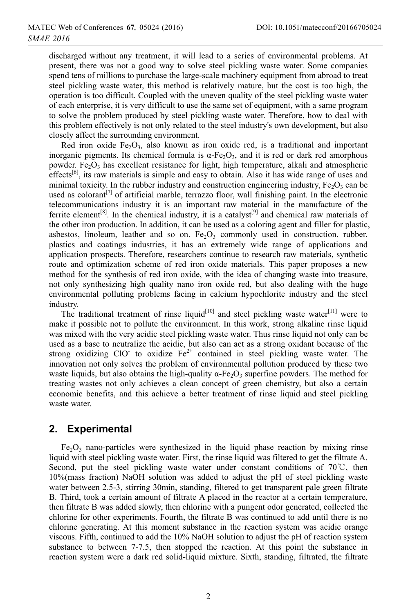discharged without any treatment, it will lead to a series of environmental problems. At present, there was not a good way to solve steel pickling waste water. Some companies spend tens of millions to purchase the large-scale machinery equipment from abroad to treat steel pickling waste water, this method is relatively mature, but the cost is too high, the operation is too difficult. Coupled with the uneven quality of the steel pickling waste water of each enterprise, it is very difficult to use the same set of equipment, with a same program to solve the problem produced by steel pickling waste water. Therefore, how to deal with this problem effectively is not only related to the steel industry's own development, but also closely affect the surrounding environment.

Red iron oxide  $Fe<sub>2</sub>O<sub>3</sub>$ , also known as iron oxide red, is a traditional and important inorganic pigments. Its chemical formula is  $\alpha$ -Fe<sub>2</sub>O<sub>3</sub>, and it is red or dark red amorphous powder. Fe<sub>2</sub>O<sub>3</sub> has excellent resistance for light, high temperature, alkali and atmospheric  $effects<sup>[6]</sup>$ , its raw materials is simple and easy to obtain. Also it has wide range of uses and minimal toxicity. In the rubber industry and construction engineering industry,  $Fe<sub>2</sub>O<sub>3</sub>$  can be used as colorant<sup>[7]</sup> of artificial marble, terrazzo floor, wall finishing paint. In the electronic telecommunications industry it is an important raw material in the manufacture of the ferrite element<sup>[8]</sup>. In the chemical industry, it is a catalyst<sup>[9]</sup> and chemical raw materials of the other iron production. In addition, it can be used as a coloring agent and filler for plastic, asbestos, linoleum, leather and so on.  $Fe<sub>2</sub>O<sub>3</sub>$  commonly used in construction, rubber, plastics and coatings industries, it has an extremely wide range of applications and application prospects. Therefore, researchers continue to research raw materials, synthetic route and optimization scheme of red iron oxide materials. This paper proposes a new method for the synthesis of red iron oxide, with the idea of changing waste into treasure, not only synthesizing high quality nano iron oxide red, but also dealing with the huge environmental polluting problems facing in calcium hypochlorite industry and the steel industry.

The traditional treatment of rinse liquid<sup>[10]</sup> and steel pickling waste water<sup>[11]</sup> were to make it possible not to pollute the environment. In this work, strong alkaline rinse liquid was mixed with the very acidic steel pickling waste water. Thus rinse liquid not only can be used as a base to neutralize the acidic, but also can act as a strong oxidant because of the strong oxidizing ClO to oxidize  $Fe^{2+}$  contained in steel pickling waste water. The innovation not only solves the problem of environmental pollution produced by these two waste liquids, but also obtains the high-quality  $\alpha$ -Fe<sub>2</sub>O<sub>3</sub> superfine powders. The method for treating wastes not only achieves a clean concept of green chemistry, but also a certain economic benefits, and this achieve a better treatment of rinse liquid and steel pickling waste water.

# **2. Experimental**

 $Fe<sub>2</sub>O<sub>3</sub>$  nano-particles were synthesized in the liquid phase reaction by mixing rinse liquid with steel pickling waste water. First, the rinse liquid was filtered to get the filtrate A. Second, put the steel pickling waste water under constant conditions of  $70^{\circ}$ C, then 10%(mass fraction) NaOH solution was added to adjust the pH of steel pickling waste water between 2.5-3, stirring 30min, standing, filtered to get transparent pale green filtrate B. Third, took a certain amount of filtrate A placed in the reactor at a certain temperature, then filtrate B was added slowly, then chlorine with a pungent odor generated, collected the chlorine for other experiments. Fourth, the filtrate B was continued to add until there is no chlorine generating. At this moment substance in the reaction system was acidic orange viscous. Fifth, continued to add the 10% NaOH solution to adjust the pH of reaction system substance to between 7-7.5, then stopped the reaction. At this point the substance in reaction system were a dark red solid-liquid mixture. Sixth, standing, filtrated, the filtrate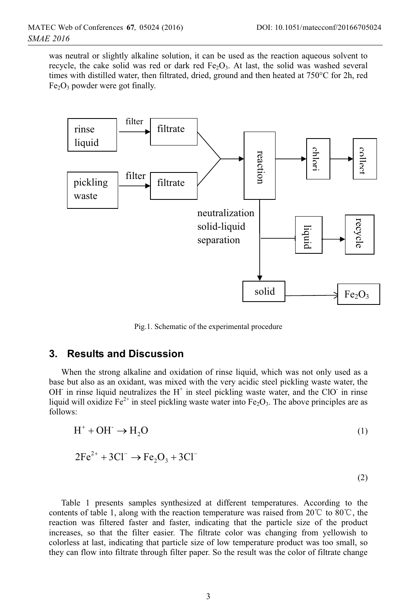(2)

was neutral or slightly alkaline solution, it can be used as the reaction aqueous solvent to recycle, the cake solid was red or dark red  $Fe<sub>2</sub>O<sub>3</sub>$ . At last, the solid was washed several times with distilled water, then filtrated, dried, ground and then heated at 750°C for 2h, red  $Fe<sub>2</sub>O<sub>3</sub>$  powder were got finally.



Pig.1. Schematic of the experimental procedure

#### **3. Results and Discussion**

When the strong alkaline and oxidation of rinse liquid, which was not only used as a base but also as an oxidant, was mixed with the very acidic steel pickling waste water, the OH in rinse liquid neutralizes the  $H^+$  in steel pickling waste water, and the ClO in rinse liquid will oxidize  $Fe^{2+}$  in steel pickling waste water into  $Fe<sub>2</sub>O<sub>3</sub>$ . The above principles are as follows:

$$
H^+ + OH^- \to H_2O \tag{1}
$$

$$
2Fe^{2+} + 3Cl^{-} \rightarrow Fe_{2}O_{3} + 3Cl^{-}
$$

Table 1 presents samples synthesized at different temperatures. According to the contents of table 1, along with the reaction temperature was raised from  $20^{\circ}$  to  $80^{\circ}$ , the reaction was filtered faster and faster, indicating that the particle size of the product increases, so that the filter easier. The filtrate color was changing from yellowish to colorless at last, indicating that particle size of low temperature product was too small, so they can flow into filtrate through filter paper. So the result was the color of filtrate change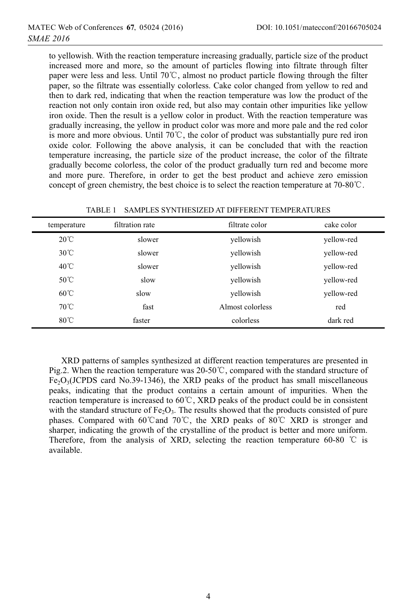to yellowish. With the reaction temperature increasing gradually, particle size of the product increased more and more, so the amount of particles flowing into filtrate through filter paper were less and less. Until  $70^{\circ}$ C, almost no product particle flowing through the filter paper, so the filtrate was essentially colorless. Cake color changed from yellow to red and then to dark red, indicating that when the reaction temperature was low the product of the reaction not only contain iron oxide red, but also may contain other impurities like yellow iron oxide. Then the result is a yellow color in product. With the reaction temperature was gradually increasing, the yellow in product color was more and more pale and the red color is more and more obvious. Until  $70^{\circ}$ C, the color of product was substantially pure red iron oxide color. Following the above analysis, it can be concluded that with the reaction temperature increasing, the particle size of the product increase, the color of the filtrate gradually become colorless, the color of the product gradually turn red and become more and more pure. Therefore, in order to get the best product and achieve zero emission concept of green chemistry, the best choice is to select the reaction temperature at  $70{\text -}80^{\circ}\text{C}$ .

| temperature    | filtration rate | filtrate color   | cake color |
|----------------|-----------------|------------------|------------|
| $20^{\circ}$ C | slower          | yellowish        | yellow-red |
| $30^{\circ}$ C | slower          | yellowish        | yellow-red |
| $40^{\circ}$ C | slower          | yellowish        | yellow-red |
| $50^{\circ}$ C | slow            | vellowish        | yellow-red |
| $60^{\circ}$ C | slow            | yellowish        | yellow-red |
| $70^{\circ}$ C | fast            | Almost colorless | red        |
| $80^{\circ}$ C | faster          | colorless        | dark red   |

TABLE 1 SAMPLES SYNTHESIZED AT DIFFERENT TEMPERATURES

XRD patterns of samples synthesized at different reaction temperatures are presented in Pig.2. When the reaction temperature was 20-50  $\degree$ , compared with the standard structure of  $Fe<sub>2</sub>O<sub>3</sub>(JCPDS card No.39-1346)$ , the XRD peaks of the product has small miscellaneous peaks, indicating that the product contains a certain amount of impurities. When the reaction temperature is increased to  $60^{\circ}$ C, XRD peaks of the product could be in consistent with the standard structure of  $Fe<sub>2</sub>O<sub>3</sub>$ . The results showed that the products consisted of pure phases. Compared with 60°C and 70°C, the XRD peaks of 80°C XRD is stronger and sharper, indicating the growth of the crystalline of the product is better and more uniform. Therefore, from the analysis of XRD, selecting the reaction temperature 60-80  $\degree$ C is available.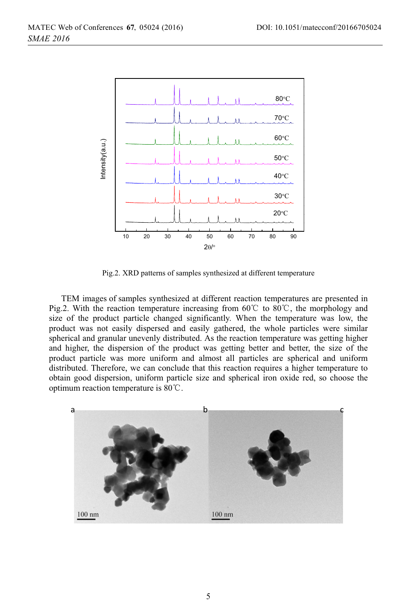

Pig.2. XRD patterns of samples synthesized at different temperature

TEM images of samples synthesized at different reaction temperatures are presented in Pig.2. With the reaction temperature increasing from 60°C to 80°C, the morphology and size of the product particle changed significantly. When the temperature was low, the product was not easily dispersed and easily gathered, the whole particles were similar spherical and granular unevenly distributed. As the reaction temperature was getting higher and higher, the dispersion of the product was getting better and better, the size of the product particle was more uniform and almost all particles are spherical and uniform distributed. Therefore, we can conclude that this reaction requires a higher temperature to obtain good dispersion, uniform particle size and spherical iron oxide red, so choose the optimum reaction temperature is  $80^{\circ}$ C.

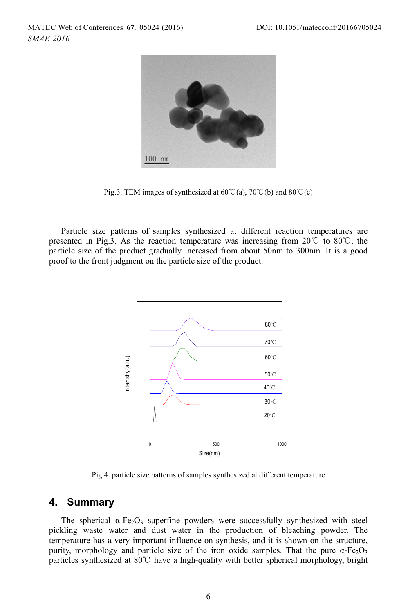

Pig.3. TEM images of synthesized at  $60^{\circ}C(a)$ ,  $70^{\circ}C(b)$  and  $80^{\circ}C(c)$ 

Particle size patterns of samples synthesized at different reaction temperatures are presented in Pig.3. As the reaction temperature was increasing from  $20^{\circ}$ C to  $80^{\circ}$ C, the particle size of the product gradually increased from about 50nm to 300nm. It is a good proof to the front judgment on the particle size of the product.



Pig.4. particle size patterns of samples synthesized at different temperature

# **4. Summary**

The spherical  $\alpha$ -Fe<sub>2</sub>O<sub>3</sub> superfine powders were successfully synthesized with steel pickling waste water and dust water in the production of bleaching powder. The temperature has a very important influence on synthesis, and it is shown on the structure, purity, morphology and particle size of the iron oxide samples. That the pure  $\alpha$ -Fe<sub>2</sub>O<sub>3</sub> particles synthesized at  $80^{\circ}$  have a high-quality with better spherical morphology, bright